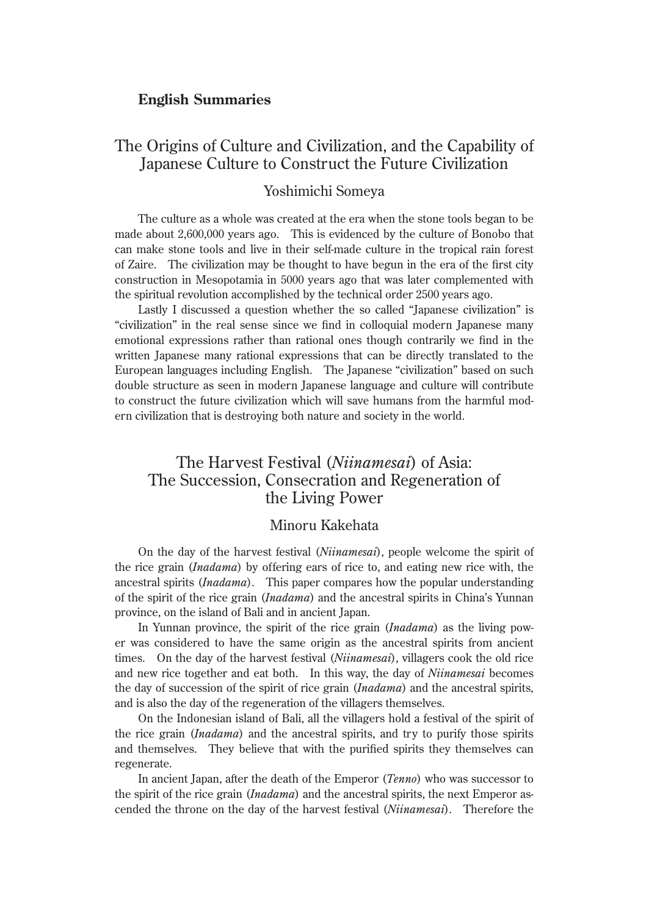#### **English Summaries**

# The Origins of Culture and Civilization, and the Capability of Japanese Culture to Construct the Future Civilization

### Yoshimichi Someya

The culture as a whole was created at the era when the stone tools began to be made about 2,600,000 years ago. This is evidenced by the culture of Bonobo that can make stone tools and live in their self-made culture in the tropical rain forest of Zaire. The civilization may be thought to have begun in the era of the first city construction in Mesopotamia in 5000 years ago that was later complemented with the spiritual revolution accomplished by the technical order 2500 years ago.

Lastly I discussed a question whether the so called "Japanese civilization" is "civilization" in the real sense since we find in colloquial modern Japanese many emotional expressions rather than rational ones though contrarily we find in the written Japanese many rational expressions that can be directly translated to the European languages including English. The Japanese "civilization" based on such double structure as seen in modern Japanese language and culture will contribute to construct the future civilization which will save humans from the harmful modern civilization that is destroying both nature and society in the world.

## The Harvest Festival (*Niinamesai*) of Asia: The Succession, Consecration and Regeneration of the Living Power

### Minoru Kakehata

On the day of the harvest festival (*Niinamesai*), people welcome the spirit of the rice grain (*Inadama*) by offering ears of rice to, and eating new rice with, the ancestral spirits (*Inadama*). This paper compares how the popular understanding of the spirit of the rice grain (*Inadama*) and the ancestral spirits in China's Yunnan province, on the island of Bali and in ancient Japan.

In Yunnan province, the spirit of the rice grain (*Inadama*) as the living power was considered to have the same origin as the ancestral spirits from ancient times. On the day of the harvest festival (*Niinamesai*), villagers cook the old rice and new rice together and eat both. In this way, the day of *Niinamesai* becomes the day of succession of the spirit of rice grain (*Inadama*) and the ancestral spirits, and is also the day of the regeneration of the villagers themselves.

On the Indonesian island of Bali, all the villagers hold a festival of the spirit of the rice grain (*Inadama*) and the ancestral spirits, and try to purify those spirits and themselves. They believe that with the purified spirits they themselves can regenerate.

In ancient Japan, after the death of the Emperor (*Tenno*) who was successor to the spirit of the rice grain (*Inadama*) and the ancestral spirits, the next Emperor ascended the throne on the day of the harvest festival (*Niinamesai*). Therefore the